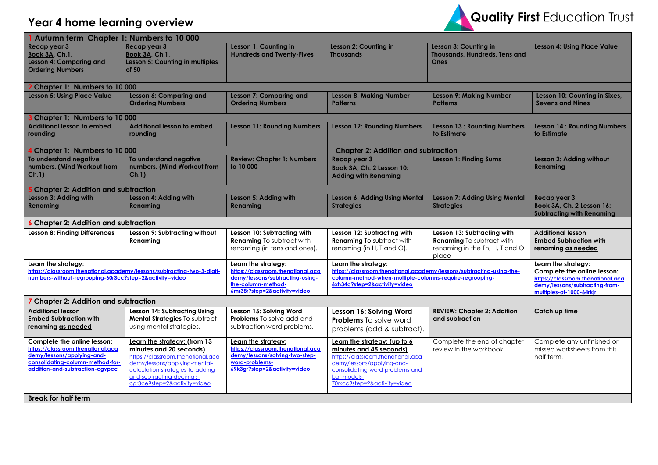## **Year 4 home learning overview**



| Autumn term Chapter 1: Numbers to 10 000                                                                                                                                                            |                                                                                                                                                                                                                                 |                                                                                                                                              |                                                                                                                                                                                                               |                                                                                                            |                                                                                                                                |  |
|-----------------------------------------------------------------------------------------------------------------------------------------------------------------------------------------------------|---------------------------------------------------------------------------------------------------------------------------------------------------------------------------------------------------------------------------------|----------------------------------------------------------------------------------------------------------------------------------------------|---------------------------------------------------------------------------------------------------------------------------------------------------------------------------------------------------------------|------------------------------------------------------------------------------------------------------------|--------------------------------------------------------------------------------------------------------------------------------|--|
| Recap year 3<br><b>Book 3A, Ch.1,</b><br>Lesson 4: Comparing and<br><b>Ordering Numbers</b>                                                                                                         | Recap year 3<br><b>Book 3A, Ch.1,</b><br>Lesson 5: Counting in multiples<br>of 50                                                                                                                                               | Lesson 1: Counting in<br><b>Hundreds and Twenty-Fives</b>                                                                                    | Lesson 2: Counting in<br><b>Thousands</b>                                                                                                                                                                     | Lesson 3: Counting in<br>Thousands, Hundreds, Tens and<br>Ones                                             | <b>Lesson 4: Using Place Value</b>                                                                                             |  |
| <b>2 Chapter 1: Numbers to 10 000</b>                                                                                                                                                               |                                                                                                                                                                                                                                 |                                                                                                                                              |                                                                                                                                                                                                               |                                                                                                            |                                                                                                                                |  |
| <b>Lesson 5: Using Place Value</b>                                                                                                                                                                  | Lesson 6: Comparing and<br><b>Ordering Numbers</b>                                                                                                                                                                              | <b>Lesson 7: Comparing and</b><br><b>Ordering Numbers</b>                                                                                    | <b>Lesson 8: Making Number</b><br><b>Patterns</b>                                                                                                                                                             | <b>Lesson 9: Making Number</b><br><b>Patterns</b>                                                          | Lesson 10: Counting in Sixes,<br><b>Sevens and Nines</b>                                                                       |  |
| Chapter 1: Numbers to 10 000                                                                                                                                                                        |                                                                                                                                                                                                                                 |                                                                                                                                              |                                                                                                                                                                                                               |                                                                                                            |                                                                                                                                |  |
| <b>Additional lesson to embed</b><br>rounding                                                                                                                                                       | Additional lesson to embed<br>rounding                                                                                                                                                                                          | <b>Lesson 11: Rounding Numbers</b>                                                                                                           | <b>Lesson 12: Rounding Numbers</b>                                                                                                                                                                            | <b>Lesson 13: Rounding Numbers</b><br>to Estimate                                                          | <b>Lesson 14: Rounding Numbers</b><br>to Estimate                                                                              |  |
| Chapter 1: Numbers to 10 000                                                                                                                                                                        |                                                                                                                                                                                                                                 |                                                                                                                                              | <b>Chapter 2: Addition and subtraction</b>                                                                                                                                                                    |                                                                                                            |                                                                                                                                |  |
| To understand negative<br>numbers. (Mind Workout from<br>Ch.1)                                                                                                                                      | To understand negative<br>numbers. (Mind Workout from<br>Ch.1                                                                                                                                                                   | <b>Review: Chapter 1: Numbers</b><br>to 10 000                                                                                               | Recap year 3<br>Book 3A, Ch. 2 Lesson 10:<br><b>Adding with Renaming</b>                                                                                                                                      | <b>Lesson 1: Finding Sums</b>                                                                              | Lesson 2: Adding without<br>Renaming                                                                                           |  |
| <b>Chapter 2: Addition and subtraction</b>                                                                                                                                                          |                                                                                                                                                                                                                                 |                                                                                                                                              |                                                                                                                                                                                                               |                                                                                                            |                                                                                                                                |  |
| Lesson 3: Adding with<br>Renaming                                                                                                                                                                   | Lesson 4: Adding with<br><b>Renaming</b>                                                                                                                                                                                        | Lesson 5: Adding with<br>Renaming                                                                                                            | Lesson 6: Adding Using Mental<br><b>Strategies</b>                                                                                                                                                            | <b>Lesson 7: Adding Using Mental</b><br><b>Strategies</b>                                                  | Recap year 3<br>Book 3A, Ch. 2 Lesson 16:<br><b>Subtracting with Renaming</b>                                                  |  |
| <b>6 Chapter 2: Addition and subtraction</b>                                                                                                                                                        |                                                                                                                                                                                                                                 |                                                                                                                                              |                                                                                                                                                                                                               |                                                                                                            |                                                                                                                                |  |
| <b>Lesson 8: Finding Differences</b>                                                                                                                                                                | Lesson 9: Subtracting without<br>Renaming                                                                                                                                                                                       | Lesson 10: Subtracting with<br><b>Renaming</b> To subtract with<br>renaming (in tens and ones).                                              | Lesson 12: Subtracting with<br><b>Renaming</b> To subtract with<br>renaming (in H, T and O).                                                                                                                  | Lesson 13: Subtracting with<br><b>Renaming</b> To subtract with<br>renaming in the Th, H, T and O<br>place | <b>Additional lesson</b><br><b>Embed Subtraction with</b><br>renaming as needed                                                |  |
| Learn the strategy:                                                                                                                                                                                 |                                                                                                                                                                                                                                 | Learn the strategy:                                                                                                                          | Learn the strategy:                                                                                                                                                                                           |                                                                                                            | Learn the strategy:                                                                                                            |  |
| https://classroom.thenational.academy/lessons/subtracting-two-3-digit-<br>numbers-without-regrouping-60r3cc?step=2&activity=video                                                                   |                                                                                                                                                                                                                                 | https://classroom.thenational.aca<br>demy/lessons/subtracting-using-<br>the-column-method-<br>6mr38r?step=2&activity=video                   | https://classroom.thenational.academy/lessons/subtracting-using-the-<br>column-method-when-multiple-columns-require-regrouping-<br>6xh34c?step=2&activity=video                                               |                                                                                                            | Complete the online lesson:<br>https://classroom.thenational.aca<br>demy/lessons/subtracting-from-<br>multiples-of-1000-64rkjr |  |
| 7 Chapter 2: Addition and subtraction                                                                                                                                                               |                                                                                                                                                                                                                                 |                                                                                                                                              |                                                                                                                                                                                                               |                                                                                                            |                                                                                                                                |  |
| <b>Additional lesson</b><br><b>Embed Subtraction with</b><br>renaming as needed                                                                                                                     | Lesson 14: Subtracting Using<br>Mental Strategies To subtract<br>using mental strategies.                                                                                                                                       | Lesson 15: Solving Word<br><b>Problems</b> To solve add and<br>subtraction word problems.                                                    | Lesson 16: Solving Word<br><b>Problems</b> To solve word<br>problems (add & subtract).                                                                                                                        | <b>REVIEW: Chapter 2: Addition</b><br>and subtraction                                                      | Catch up time                                                                                                                  |  |
| Complete the online lesson:<br>https://classroom.thenational.aca<br>demy/lessons/applying-and-<br>consolidating-column-method-for-<br>addition-and-subtraction-cavpcc<br><b>Break for half term</b> | Learn the strategy: (from 13<br>minutes and 20 seconds)<br>https://classroom.thenational.aca<br>demy/lessons/applying-mental-<br>calculation-strategies-to-adding-<br>and-subtracting-decimals-<br>cgr3ce?step=2&activity=video | Learn the strategy:<br>https://classroom.thenational.aca<br>demy/lessons/solving-two-step-<br>word-problems-<br>69k3gr?step=2&activity=video | Learn the strategy: (up to 6<br>minutes and 45 seconds)<br>https://classroom.thenational.aca<br>demy/lessons/applying-and-<br>consolidating-word-problems-and-<br>bar-models-<br>70rkcc?step=2&activity=video | Complete the end of chapter<br>review in the workbook.                                                     | Complete any unfinished or<br>missed worksheets from this<br>half term.                                                        |  |
|                                                                                                                                                                                                     |                                                                                                                                                                                                                                 |                                                                                                                                              |                                                                                                                                                                                                               |                                                                                                            |                                                                                                                                |  |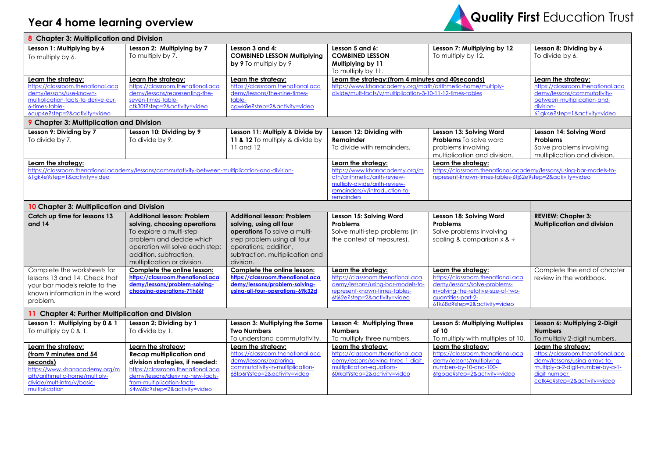## **Year 4 home learning overview**



| 8 Chapter 3: Multiplication and Division                                                                                                                                     |                                                                                                                                                                                                                                  |                                                                                                                                                                                                      |                                                                                                                                                                                 |                                                                                                                                                                                       |                                                                                                                                                                                 |
|------------------------------------------------------------------------------------------------------------------------------------------------------------------------------|----------------------------------------------------------------------------------------------------------------------------------------------------------------------------------------------------------------------------------|------------------------------------------------------------------------------------------------------------------------------------------------------------------------------------------------------|---------------------------------------------------------------------------------------------------------------------------------------------------------------------------------|---------------------------------------------------------------------------------------------------------------------------------------------------------------------------------------|---------------------------------------------------------------------------------------------------------------------------------------------------------------------------------|
| Lesson 1: Multiplying by 6<br>To multiply by 6.                                                                                                                              | Lesson 2: Multiplying by 7<br>To multiply by 7.                                                                                                                                                                                  | Lesson 3 and 4:<br><b>COMBINED LESSON Multiplying</b><br>by 9 To multiply by 9                                                                                                                       | Lesson 5 and 6:<br><b>COMBINED LESSON</b><br>Multiplying by 11<br>To multiply by 11.                                                                                            | Lesson 7: Multiplying by 12<br>To multiply by 12.                                                                                                                                     | Lesson 8: Dividing by 6<br>To divide by 6.                                                                                                                                      |
| Learn the strategy:<br>https://classroom.thenational.aca<br>demy/lessons/use-known-<br>multiplication-facts-to-derive-our-<br>6-times-table-<br>6cup4e?step=2&activity=video | Learn the strategy:<br>https://classroom.thenational.aca<br>demy/lessons/representing-the-<br>seven-times-table-<br>ctk30t?step=2&activity=video                                                                                 | Learn the strategy:<br>https://classroom.thenational.aca<br>demy/lessons/the-nine-times-<br>table-<br>cgwk8e?step=2&activity=video                                                                   | Learn the strategy: (from 4 minutes and 40 seconds)<br>https://www.khanacademy.org/math/arithmetic-home/multiply-<br>divide/mult-facts/v/multiplication-3-10-11-12-times-tables |                                                                                                                                                                                       | Learn the strategy:<br>https://classroom.thenational.aca<br>demy/lessons/commutativity-<br>between-multiplication-and-<br>division-<br>61gk4e?step=1&activity=video             |
| 9 Chapter 3: Multiplication and Division                                                                                                                                     |                                                                                                                                                                                                                                  |                                                                                                                                                                                                      |                                                                                                                                                                                 |                                                                                                                                                                                       |                                                                                                                                                                                 |
| Lesson 9: Dividing by 7<br>To divide by 7.                                                                                                                                   | Lesson 10: Dividing by 9<br>To divide by 9.                                                                                                                                                                                      | Lesson 11: Multiply & Divide by<br>11 & 12 To multiply & divide by<br>11 and 12                                                                                                                      | Lesson 12: Dividing with<br>Remainder<br>To divide with remainders.                                                                                                             | Lesson 13: Solving Word<br><b>Problems</b> To solve word<br>problems involving<br>multiplication and division.                                                                        | Lesson 14: Solving Word<br><b>Problems</b><br>Solve problems involving<br>multiplication and division.                                                                          |
| Learn the strategy:<br>https://classroom.thenational.academy/lessons/commutativity-between-multiplication-and-division-<br>61gk4e?step=1&activity=video                      |                                                                                                                                                                                                                                  |                                                                                                                                                                                                      | Learn the strategy:<br>https://www.khanacademy.org/m<br>ath/arithmetic/arith-review-<br>multiply-divide/arith-review-<br>remainders/v/introduction-to-<br>remainders            | Learn the strategy:<br>https://classroom.thenational.academy/lessons/using-bar-models-to-<br>represent-known-times-tables-6tj62e?step=2&activity=video                                |                                                                                                                                                                                 |
| 10 Chapter 3: Multiplication and Division                                                                                                                                    |                                                                                                                                                                                                                                  |                                                                                                                                                                                                      |                                                                                                                                                                                 |                                                                                                                                                                                       |                                                                                                                                                                                 |
| Catch up time for lessons 13<br>and 14                                                                                                                                       | <b>Additional lesson: Problem</b><br>solving, choosing operations<br>To explore a multi-step<br>problem and decide which<br>operation will solve each step;<br>addition, subtraction,<br>multiplication or division.             | <b>Additional lesson: Problem</b><br>solving, using all four<br>operations To solve a multi-<br>step problem using all four<br>operations; addition,<br>subtraction, multiplication and<br>division. | Lesson 15: Solving Word<br>Problems<br>Solve multi-step problems (in<br>the context of measures).                                                                               | Lesson 18: Solving Word<br><b>Problems</b><br>Solve problems involving<br>scaling & comparison $x \&$                                                                                 | <b>REVIEW: Chapter 3:</b><br><b>Multiplication and division</b>                                                                                                                 |
| Complete the worksheets for<br>lessons 13 and 14. Check that<br>your bar models relate to the<br>known information in the word<br>problem.                                   | Complete the online lesson:<br>https://classroom.thenational.aca<br>demy/lessons/problem-solving-<br>choosing-operations-71h66t                                                                                                  | Complete the online lesson:<br>https://classroom.thenational.aca<br>demy/lessons/problem-solving-<br>using-all-four-operations-69k32d                                                                | Learn the strategy:<br>https://classroom.thenational.aca<br>demy/lessons/using-bar-models-to-<br>represent-known-times-tables-<br>6ti62e?step=2&activity=video                  | Learn the strategy:<br>https://classroom.thenational.aca<br>demy/lessons/solve-problems-<br>involving-the-relative-size-of-two-<br>avantities-part-2-<br>61k68d?step=2&activity=video | Complete the end of chapter<br>review in the workbook.                                                                                                                          |
| 11 Chapter 4: Further Multiplication and Division                                                                                                                            |                                                                                                                                                                                                                                  |                                                                                                                                                                                                      |                                                                                                                                                                                 |                                                                                                                                                                                       |                                                                                                                                                                                 |
| Lesson 1: Multiplying by 0 & 1<br>To multiply by 0 & 1.                                                                                                                      | Lesson 2: Dividing by 1<br>To divide by 1.                                                                                                                                                                                       | Lesson 3: Multiplying the Same<br><b>Two Numbers</b><br>To understand commutativity.                                                                                                                 | Lesson 4: Multiplying Three<br><b>Numbers</b><br>To multiply three numbers.                                                                                                     | Lesson 5: Multiplying Multiples<br>of 10<br>To multiply with multiples of 10.                                                                                                         | Lesson 6: Multiplying 2-Digit<br><b>Numbers</b><br>To multiply 2-digit numbers.                                                                                                 |
| Learn the strategy:<br>(from 9 minutes and 54<br>seconds)<br>https://www.khanacademy.org/m<br>ath/arithmetic-home/multiply-<br>divide/mult-intro/v/basic-<br>multiplication  | Learn the strategy:<br><b>Recap multiplication and</b><br>division strategies, if needed:<br>https://classroom.thenational.aca<br>demy/lessons/deriving-new-facts-<br>from-multiplication-facts-<br>64w68c?step=2&activity=video | Learn the strategy:<br>https://classroom.thenational.aca<br>demy/lessons/exploring-<br>commutativity-in-multiplication-<br>68tp6r?step=2&activity=video                                              | Learn the strategy:<br>https://classroom.thenational.aca<br>demy/lessons/solving-three-1-digit-<br>multiplication-equations-<br>60rkat?step=2&activity=video                    | Learn the strategy:<br>https://classroom.thenational.aca<br>demy/lessons/multiplying-<br>numbers-by-10-and-100-<br>6tgpac?step=2&activity=video                                       | Learn the strategy:<br>https://classroom.thenational.aca<br>demy/lessons/using-arrays-to-<br>multiply-a-2-digit-number-by-a-1-<br>digit-number-<br>cctk4c?step=2&activity=video |